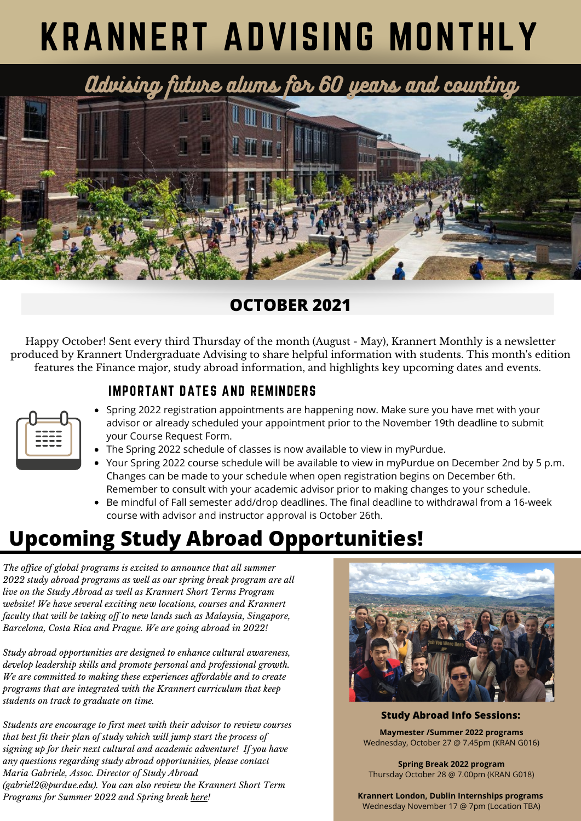# KRANNERT ADVISING MONTHLY

Advising future alums for 60 years and counting



### **OCTOBER 2021**

Happy October! Sent every third Thursday of the month (August - May), Krannert Monthly is a newsletter produced by Krannert Undergraduate Advising to share helpful information with students. This month's edition features the Finance major, study abroad information, and highlights key upcoming dates and events.

#### IMPORTANT DATES AND REMINDERS

| _ | ---        |  |
|---|------------|--|
|   | ---        |  |
|   | . .<br>- - |  |
|   |            |  |

- Spring 2022 registration appointments are happening now. Make sure you have met with your advisor or already scheduled your appointment prior to the November 19th deadline to submit your Course Request Form.
- The Spring 2022 schedule of classes is now available to view in myPurdue.
- Your Spring 2022 course schedule will be available to view in myPurdue on December 2nd by 5 p.m. Changes can be made to your schedule when open registration begins on December 6th. Remember to consult with your academic advisor prior to making changes to your schedule.
- Be mindful of Fall semester add/drop [deadlines.](https://www.purdue.edu/registrar/calendars/FallDropAdd.html) The final deadline to withdrawal from a 16-week course with advisor and instructor approval is October 26th.

## **Upcoming Study Abroad Opportunities!**

*The of ice of global programs is excited to announce that all summer 2022 study abroad programs as well as our spring break program are all live on the Study Abroad as well as Krannert Short Terms Program website! We have several exciting new locations, courses and Krannert faculty that will be taking of to new lands such as Malaysia, Singapore, Barcelona, Costa Rica and Prague. We are going abroad in 2022!*

*Study abroad opportunities are designed to enhance cultural awareness, develop leadership skills and promote personal and professional growth. We are committed to making these experiences af ordable and to create programs that are integrated with the Krannert curriculum that keep students on track to graduate on time.*

*Students are encourage to first meet with their advisor to review courses that best fit their plan of study which will jump start the process of signing up for their next cultural and academic adventure! If you have any questions regarding study abroad opportunities, please contact Maria Gabriele, Assoc. Director of Study Abroad (gabriel2@purdue.edu). You can also review the Krannert Short Term Programs for Summer 2022 and Spring break [here](https://krannert.purdue.edu/undergraduate/study-abroad/short-term-programs/home.php)!*



**Study Abroad Info Sessions:**

**Maymester /Summer 2022 programs** Wednesday, October 27 @ 7.45pm (KRAN G016)

**Spring Break 2022 program** Thursday October 28 @ 7.00pm (KRAN G018)

**Krannert London, Dublin Internships programs** Wednesday November 17 @ 7pm (Location TBA)